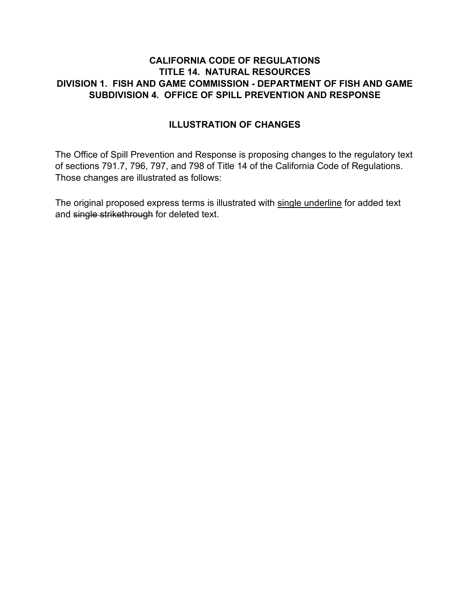## **CALIFORNIA CODE OF REGULATIONS TITLE 14. NATURAL RESOURCES DIVISION 1. FISH AND GAME COMMISSION - DEPARTMENT OF FISH AND GAME SUBDIVISION 4. OFFICE OF SPILL PREVENTION AND RESPONSE**

## **ILLUSTRATION OF CHANGES**

The Office of Spill Prevention and Response is proposing changes to the regulatory text of sections 791.7, 796, 797, and 798 of Title 14 of the California Code of Regulations. Those changes are illustrated as follows:

The original proposed express terms is illustrated with single underline for added text and single strikethrough for deleted text.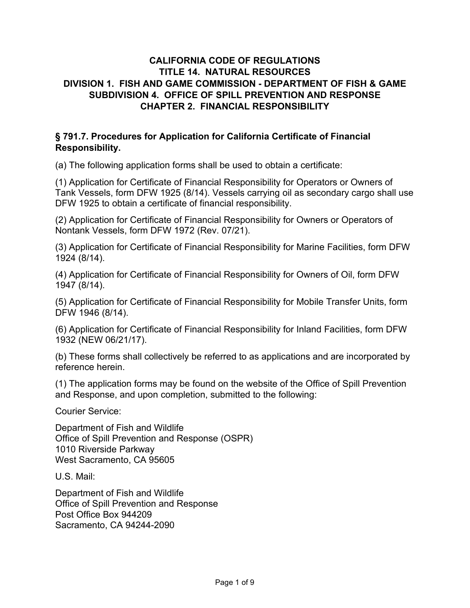## **CALIFORNIA CODE OF REGULATIONS TITLE 14. NATURAL RESOURCES DIVISION 1. FISH AND GAME COMMISSION - DEPARTMENT OF FISH & GAME SUBDIVISION 4. OFFICE OF SPILL PREVENTION AND RESPONSE CHAPTER 2. FINANCIAL RESPONSIBILITY**

#### **§ 791.7. Procedures for Application for California Certificate of Financial Responsibility.**

(a) The following application forms shall be used to obtain a certificate:

(1) Application for Certificate of Financial Responsibility for Operators or Owners of Tank Vessels, form DFW 1925 (8/14). Vessels carrying oil as secondary cargo shall use DFW 1925 to obtain a certificate of financial responsibility.

(2) Application for Certificate of Financial Responsibility for Owners or Operators of Nontank Vessels, form DFW 1972 (Rev. 07/21).

(3) Application for Certificate of Financial Responsibility for Marine Facilities, form DFW 1924 (8/14).

(4) Application for Certificate of Financial Responsibility for Owners of Oil, form DFW 1947 (8/14).

(5) Application for Certificate of Financial Responsibility for Mobile Transfer Units, form DFW 1946 (8/14).

(6) Application for Certificate of Financial Responsibility for Inland Facilities, form DFW 1932 (NEW 06/21/17).

(b) These forms shall collectively be referred to as applications and are incorporated by reference herein.

(1) The application forms may be found on the website of the Office of Spill Prevention and Response, and upon completion, submitted to the following:

Courier Service:

Department of Fish and Wildlife Office of Spill Prevention and Response (OSPR) 1010 Riverside Parkway West Sacramento, CA 95605

U.S. Mail:

Department of Fish and Wildlife Office of Spill Prevention and Response Post Office Box 944209 Sacramento, CA 94244-2090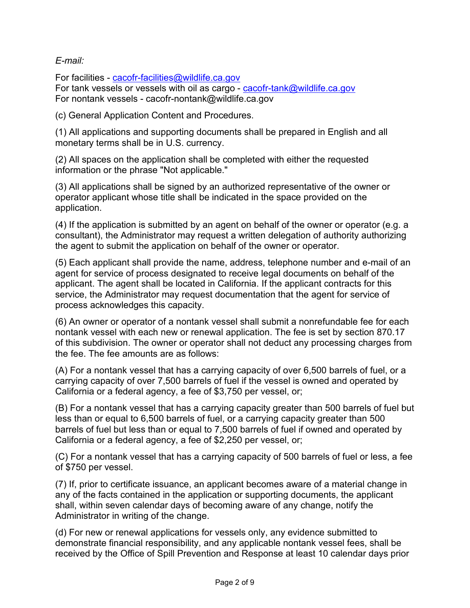### *E-mail:*

For facilities - [cacofr-facilities@wildlife.ca.gov](mailto:cacofr-facilities@wildlife.ca.gov) For tank vessels or vessels with oil as cargo - [cacofr-tank@wildlife.ca.gov](mailto:cacofr-tank@wildlife.ca.gov) For nontank vessels - cacofr-nontank@wildlife.ca.gov

(c) General Application Content and Procedures.

(1) All applications and supporting documents shall be prepared in English and all monetary terms shall be in U.S. currency.

(2) All spaces on the application shall be completed with either the requested information or the phrase "Not applicable."

(3) All applications shall be signed by an authorized representative of the owner or operator applicant whose title shall be indicated in the space provided on the application.

(4) If the application is submitted by an agent on behalf of the owner or operator (e.g. a consultant), the Administrator may request a written delegation of authority authorizing the agent to submit the application on behalf of the owner or operator.

(5) Each applicant shall provide the name, address, telephone number and e-mail of an agent for service of process designated to receive legal documents on behalf of the applicant. The agent shall be located in California. If the applicant contracts for this service, the Administrator may request documentation that the agent for service of process acknowledges this capacity.

(6) An owner or operator of a nontank vessel shall submit a nonrefundable fee for each nontank vessel with each new or renewal application. The fee is set by section 870.17 of this subdivision. The owner or operator shall not deduct any processing charges from the fee. The fee amounts are as follows:

(A) For a nontank vessel that has a carrying capacity of over 6,500 barrels of fuel, or a carrying capacity of over 7,500 barrels of fuel if the vessel is owned and operated by California or a federal agency, a fee of \$3,750 per vessel, or;

(B) For a nontank vessel that has a carrying capacity greater than 500 barrels of fuel but less than or equal to 6,500 barrels of fuel, or a carrying capacity greater than 500 barrels of fuel but less than or equal to 7,500 barrels of fuel if owned and operated by California or a federal agency, a fee of \$2,250 per vessel, or;

(C) For a nontank vessel that has a carrying capacity of 500 barrels of fuel or less, a fee of \$750 per vessel.

(7) If, prior to certificate issuance, an applicant becomes aware of a material change in any of the facts contained in the application or supporting documents, the applicant shall, within seven calendar days of becoming aware of any change, notify the Administrator in writing of the change.

(d) For new or renewal applications for vessels only, any evidence submitted to demonstrate financial responsibility, and any applicable nontank vessel fees, shall be received by the Office of Spill Prevention and Response at least 10 calendar days prior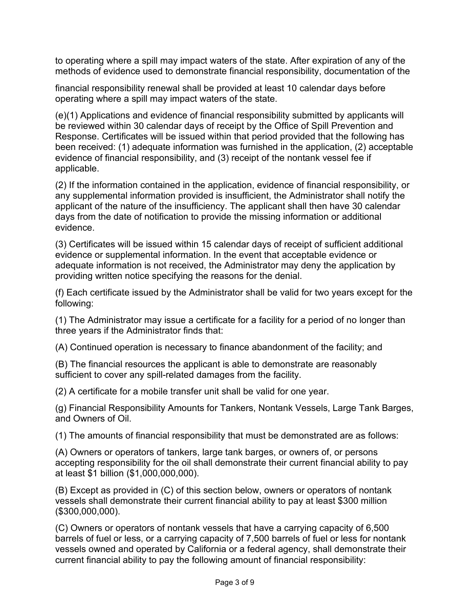to operating where a spill may impact waters of the state. After expiration of any of the methods of evidence used to demonstrate financial responsibility, documentation of the

financial responsibility renewal shall be provided at least 10 calendar days before operating where a spill may impact waters of the state.

(e)(1) Applications and evidence of financial responsibility submitted by applicants will be reviewed within 30 calendar days of receipt by the Office of Spill Prevention and Response. Certificates will be issued within that period provided that the following has been received: (1) adequate information was furnished in the application, (2) acceptable evidence of financial responsibility, and (3) receipt of the nontank vessel fee if applicable.

(2) If the information contained in the application, evidence of financial responsibility, or any supplemental information provided is insufficient, the Administrator shall notify the applicant of the nature of the insufficiency. The applicant shall then have 30 calendar days from the date of notification to provide the missing information or additional evidence.

(3) Certificates will be issued within 15 calendar days of receipt of sufficient additional evidence or supplemental information. In the event that acceptable evidence or adequate information is not received, the Administrator may deny the application by providing written notice specifying the reasons for the denial.

(f) Each certificate issued by the Administrator shall be valid for two years except for the following:

(1) The Administrator may issue a certificate for a facility for a period of no longer than three years if the Administrator finds that:

(A) Continued operation is necessary to finance abandonment of the facility; and

(B) The financial resources the applicant is able to demonstrate are reasonably sufficient to cover any spill-related damages from the facility.

(2) A certificate for a mobile transfer unit shall be valid for one year.

(g) Financial Responsibility Amounts for Tankers, Nontank Vessels, Large Tank Barges, and Owners of Oil.

(1) The amounts of financial responsibility that must be demonstrated are as follows:

(A) Owners or operators of tankers, large tank barges, or owners of, or persons accepting responsibility for the oil shall demonstrate their current financial ability to pay at least \$1 billion (\$1,000,000,000).

(B) Except as provided in (C) of this section below, owners or operators of nontank vessels shall demonstrate their current financial ability to pay at least \$300 million (\$300,000,000).

(C) Owners or operators of nontank vessels that have a carrying capacity of 6,500 barrels of fuel or less, or a carrying capacity of 7,500 barrels of fuel or less for nontank vessels owned and operated by California or a federal agency, shall demonstrate their current financial ability to pay the following amount of financial responsibility: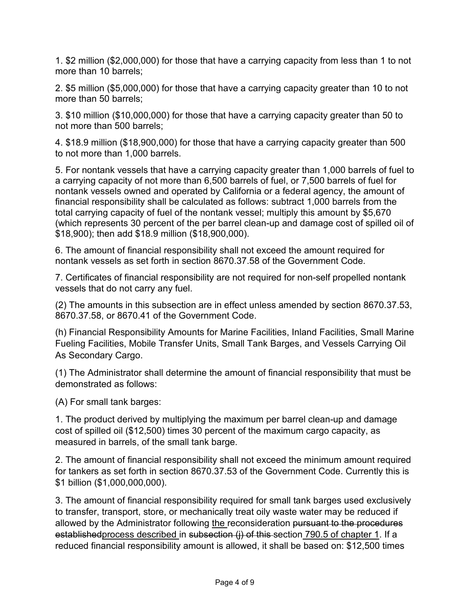1. \$2 million (\$2,000,000) for those that have a carrying capacity from less than 1 to not more than 10 barrels;

2. \$5 million (\$5,000,000) for those that have a carrying capacity greater than 10 to not more than 50 barrels;

3. \$10 million (\$10,000,000) for those that have a carrying capacity greater than 50 to not more than 500 barrels;

4. \$18.9 million (\$18,900,000) for those that have a carrying capacity greater than 500 to not more than 1,000 barrels.

5. For nontank vessels that have a carrying capacity greater than 1,000 barrels of fuel to a carrying capacity of not more than 6,500 barrels of fuel, or 7,500 barrels of fuel for nontank vessels owned and operated by California or a federal agency, the amount of financial responsibility shall be calculated as follows: subtract 1,000 barrels from the total carrying capacity of fuel of the nontank vessel; multiply this amount by \$5,670 (which represents 30 percent of the per barrel clean-up and damage cost of spilled oil of \$18,900); then add \$18.9 million (\$18,900,000).

6. The amount of financial responsibility shall not exceed the amount required for nontank vessels as set forth in section 8670.37.58 of the Government Code.

7. Certificates of financial responsibility are not required for non-self propelled nontank vessels that do not carry any fuel.

(2) The amounts in this subsection are in effect unless amended by section 8670.37.53, 8670.37.58, or 8670.41 of the Government Code.

(h) Financial Responsibility Amounts for Marine Facilities, Inland Facilities, Small Marine Fueling Facilities, Mobile Transfer Units, Small Tank Barges, and Vessels Carrying Oil As Secondary Cargo.

(1) The Administrator shall determine the amount of financial responsibility that must be demonstrated as follows:

(A) For small tank barges:

1. The product derived by multiplying the maximum per barrel clean-up and damage cost of spilled oil (\$12,500) times 30 percent of the maximum cargo capacity, as measured in barrels, of the small tank barge.

2. The amount of financial responsibility shall not exceed the minimum amount required for tankers as set forth in section 8670.37.53 of the Government Code. Currently this is \$1 billion (\$1,000,000,000).

3. The amount of financial responsibility required for small tank barges used exclusively to transfer, transport, store, or mechanically treat oily waste water may be reduced if allowed by the Administrator following the reconsideration pursuant to the procedures establishedprocess described in subsection (i) of this section 790.5 of chapter 1. If a reduced financial responsibility amount is allowed, it shall be based on: \$12,500 times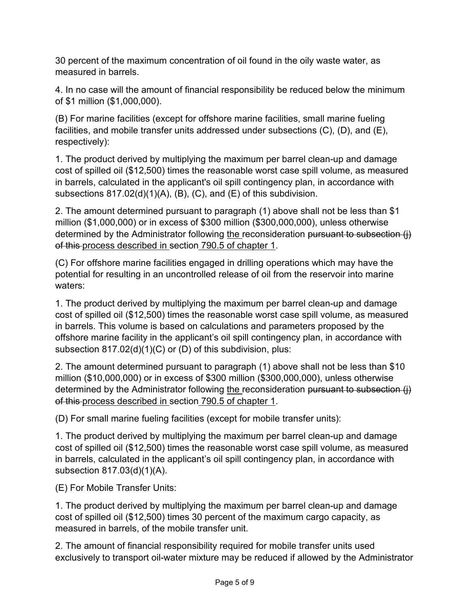30 percent of the maximum concentration of oil found in the oily waste water, as measured in barrels.

4. In no case will the amount of financial responsibility be reduced below the minimum of \$1 million (\$1,000,000).

(B) For marine facilities (except for offshore marine facilities, small marine fueling facilities, and mobile transfer units addressed under subsections (C), (D), and (E), respectively):

1. The product derived by multiplying the maximum per barrel clean-up and damage cost of spilled oil (\$12,500) times the reasonable worst case spill volume, as measured in barrels, calculated in the applicant's oil spill contingency plan, in accordance with subsections 817.02(d)(1)(A), (B), (C), and (E) of this subdivision.

2. The amount determined pursuant to paragraph (1) above shall not be less than \$1 million (\$1,000,000) or in excess of \$300 million (\$300,000,000), unless otherwise determined by the Administrator following the reconsideration pursuant to subsection (i) of this process described in section 790.5 of chapter 1.

(C) For offshore marine facilities engaged in drilling operations which may have the potential for resulting in an uncontrolled release of oil from the reservoir into marine waters:

1. The product derived by multiplying the maximum per barrel clean-up and damage cost of spilled oil (\$12,500) times the reasonable worst case spill volume, as measured in barrels. This volume is based on calculations and parameters proposed by the offshore marine facility in the applicant's oil spill contingency plan, in accordance with subsection 817.02(d)(1)(C) or (D) of this subdivision, plus:

2. The amount determined pursuant to paragraph (1) above shall not be less than \$10 million (\$10,000,000) or in excess of \$300 million (\$300,000,000), unless otherwise determined by the Administrator following the reconsideration pursuant to subsection (i) of this process described in section 790.5 of chapter 1.

(D) For small marine fueling facilities (except for mobile transfer units):

1. The product derived by multiplying the maximum per barrel clean-up and damage cost of spilled oil (\$12,500) times the reasonable worst case spill volume, as measured in barrels, calculated in the applicant's oil spill contingency plan, in accordance with subsection 817.03(d)(1)(A).

(E) For Mobile Transfer Units:

1. The product derived by multiplying the maximum per barrel clean-up and damage cost of spilled oil (\$12,500) times 30 percent of the maximum cargo capacity, as measured in barrels, of the mobile transfer unit.

2. The amount of financial responsibility required for mobile transfer units used exclusively to transport oil-water mixture may be reduced if allowed by the Administrator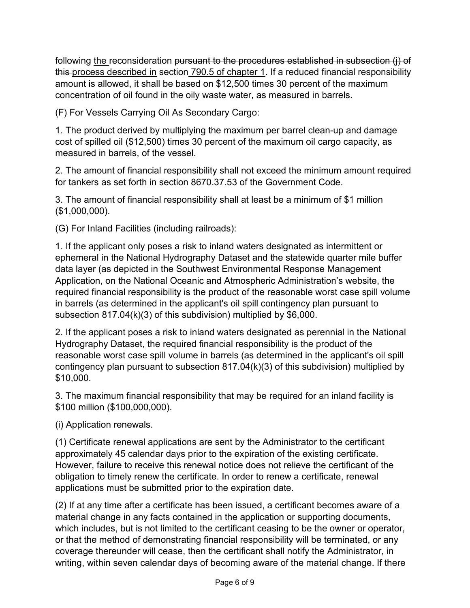following the reconsideration <del>pursuant to the procedures established in subsection (j) of</del> this-process described in section 790.5 of chapter 1. If a reduced financial responsibility amount is allowed, it shall be based on \$12,500 times 30 percent of the maximum concentration of oil found in the oily waste water, as measured in barrels.

(F) For Vessels Carrying Oil As Secondary Cargo:

1. The product derived by multiplying the maximum per barrel clean-up and damage cost of spilled oil (\$12,500) times 30 percent of the maximum oil cargo capacity, as measured in barrels, of the vessel.

2. The amount of financial responsibility shall not exceed the minimum amount required for tankers as set forth in section 8670.37.53 of the Government Code.

3. The amount of financial responsibility shall at least be a minimum of \$1 million (\$1,000,000).

(G) For Inland Facilities (including railroads):

1. If the applicant only poses a risk to inland waters designated as intermittent or ephemeral in the National Hydrography Dataset and the statewide quarter mile buffer data layer (as depicted in the Southwest Environmental Response Management Application, on the National Oceanic and Atmospheric Administration's website, the required financial responsibility is the product of the reasonable worst case spill volume in barrels (as determined in the applicant's oil spill contingency plan pursuant to subsection 817.04(k)(3) of this subdivision) multiplied by \$6,000.

2. If the applicant poses a risk to inland waters designated as perennial in the National Hydrography Dataset, the required financial responsibility is the product of the reasonable worst case spill volume in barrels (as determined in the applicant's oil spill contingency plan pursuant to subsection 817.04(k)(3) of this subdivision) multiplied by \$10,000.

3. The maximum financial responsibility that may be required for an inland facility is \$100 million (\$100,000,000).

(i) Application renewals.

(1) Certificate renewal applications are sent by the Administrator to the certificant approximately 45 calendar days prior to the expiration of the existing certificate. However, failure to receive this renewal notice does not relieve the certificant of the obligation to timely renew the certificate. In order to renew a certificate, renewal applications must be submitted prior to the expiration date.

(2) If at any time after a certificate has been issued, a certificant becomes aware of a material change in any facts contained in the application or supporting documents, which includes, but is not limited to the certificant ceasing to be the owner or operator, or that the method of demonstrating financial responsibility will be terminated, or any coverage thereunder will cease, then the certificant shall notify the Administrator, in writing, within seven calendar days of becoming aware of the material change. If there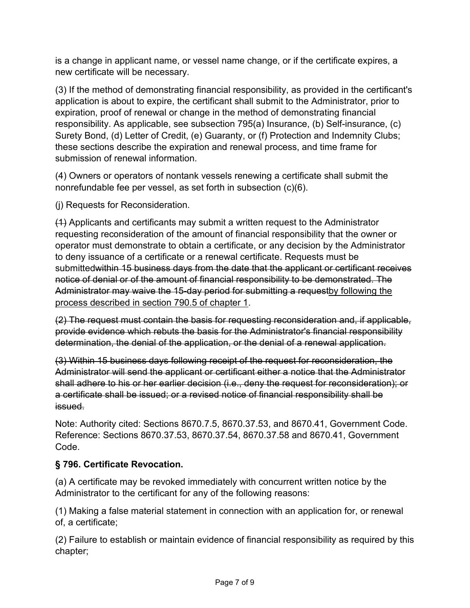is a change in applicant name, or vessel name change, or if the certificate expires, a new certificate will be necessary.

(3) If the method of demonstrating financial responsibility, as provided in the certificant's application is about to expire, the certificant shall submit to the Administrator, prior to expiration, proof of renewal or change in the method of demonstrating financial responsibility. As applicable, see subsection 795(a) Insurance, (b) Self-insurance, (c) Surety Bond, (d) Letter of Credit, (e) Guaranty, or (f) Protection and Indemnity Clubs; these sections describe the expiration and renewal process, and time frame for submission of renewal information.

(4) Owners or operators of nontank vessels renewing a certificate shall submit the nonrefundable fee per vessel, as set forth in subsection (c)(6).

(j) Requests for Reconsideration.

(1) Applicants and certificants may submit a written request to the Administrator requesting reconsideration of the amount of financial responsibility that the owner or operator must demonstrate to obtain a certificate, or any decision by the Administrator to deny issuance of a certificate or a renewal certificate. Requests must be submittedwithin 15 business days from the date that the applicant or certificant receives notice of denial or of the amount of financial responsibility to be demonstrated. The Administrator may waive the 15-day period for submitting a requestby following the process described in section 790.5 of chapter 1.

(2) The request must contain the basis for requesting reconsideration and, if applicable, provide evidence which rebuts the basis for the Administrator's financial responsibility determination, the denial of the application, or the denial of a renewal application.

(3) Within 15 business days following receipt of the request for reconsideration, the Administrator will send the applicant or certificant either a notice that the Administrator shall adhere to his or her earlier decision (i.e., deny the request for reconsideration); or a certificate shall be issued; or a revised notice of financial responsibility shall be issued.

Note: Authority cited: Sections 8670.7.5, 8670.37.53, and 8670.41, Government Code. Reference: Sections 8670.37.53, 8670.37.54, 8670.37.58 and 8670.41, Government Code.

# **§ 796. Certificate Revocation.**

(a) A certificate may be revoked immediately with concurrent written notice by the Administrator to the certificant for any of the following reasons:

(1) Making a false material statement in connection with an application for, or renewal of, a certificate;

(2) Failure to establish or maintain evidence of financial responsibility as required by this chapter;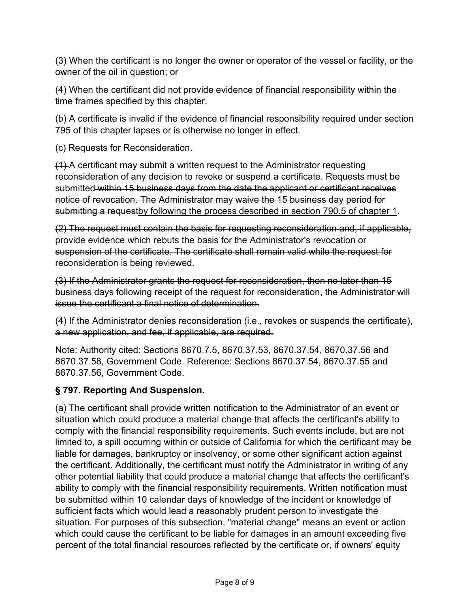(3) When the certificant is no longer the owner or operator of the vessel or facility, or the owner of the oil in question; or

(4) When the certificant did not provide evidence of financial responsibility within the time frames specified by this chapter.

(b) A certificate is invalid if the evidence of financial responsibility required under section 795 of this chapter lapses or is otherwise no longer in effect.

(c) Requests for Reconsideration.

(1) A certificant may submit a written request to the Administrator requesting reconsideration of any decision to revoke or suspend a certificate. Requests must be submitted within 15 business days from the date the applicant or certificant receives notice of revocation. The Administrator may waive the 15 business day period for submitting a requestby following the process described in section 790.5 of chapter 1.

(2) The request must contain the basis for requesting reconsideration and, if applicable, provide evidence which rebuts the basis for the Administrator's revocation or suspension of the certificate. The certificate shall remain valid while the request for reconsideration is being reviewed.

(3) If the Administrator grants the request for reconsideration, then no later than 15 business days following receipt of the request for reconsideration, the Administrator will issue the certificant a final notice of determination.

(4) If the Administrator denies reconsideration (i.e., revokes or suspends the certificate), a new application, and fee, if applicable, are required.

Note: Authority cited: Sections 8670.7.5, 8670.37.53, 8670.37.54, 8670.37.56 and 8670.37.58, Government Code. Reference: Sections 8670.37.54, 8670.37.55 and 8670.37.56, Government Code.

# **§ 797. Reporting And Suspension.**

(a) The certificant shall provide written notification to the Administrator of an event or situation which could produce a material change that affects the certificant's ability to comply with the financial responsibility requirements. Such events include, but are not limited to, a spill occurring within or outside of California for which the certificant may be liable for damages, bankruptcy or insolvency, or some other significant action against the certificant. Additionally, the certificant must notify the Administrator in writing of any other potential liability that could produce a material change that affects the certificant's ability to comply with the financial responsibility requirements. Written notification must be submitted within 10 calendar days of knowledge of the incident or knowledge of sufficient facts which would lead a reasonably prudent person to investigate the situation. For purposes of this subsection, "material change" means an event or action which could cause the certificant to be liable for damages in an amount exceeding five percent of the total financial resources reflected by the certificate or, if owners' equity